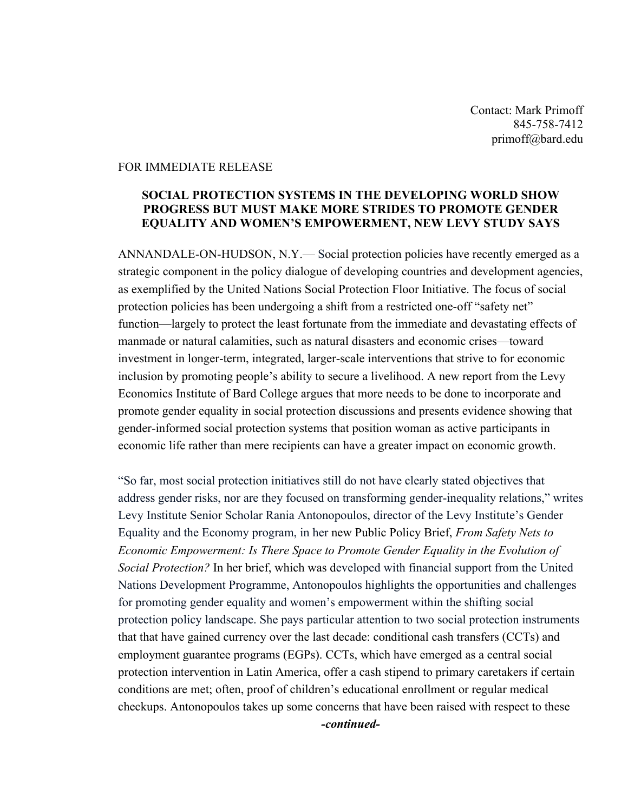Contact: Mark Primoff 845-758-7412 primoff@bard.edu

## FOR IMMEDIATE RELEASE

## **SOCIAL PROTECTION SYSTEMS IN THE DEVELOPING WORLD SHOW PROGRESS BUT MUST MAKE MORE STRIDES TO PROMOTE GENDER EQUALITY AND WOMEN'S EMPOWERMENT, NEW LEVY STUDY SAYS**

ANNANDALE-ON-HUDSON, N.Y.— Social protection policies have recently emerged as a strategic component in the policy dialogue of developing countries and development agencies, as exemplified by the United Nations Social Protection Floor Initiative. The focus of social protection policies has been undergoing a shift from a restricted one-off "safety net" function—largely to protect the least fortunate from the immediate and devastating effects of manmade or natural calamities, such as natural disasters and economic crises—toward investment in longer-term, integrated, larger-scale interventions that strive to for economic inclusion by promoting people's ability to secure a livelihood. A new report from the Levy Economics Institute of Bard College argues that more needs to be done to incorporate and promote gender equality in social protection discussions and presents evidence showing that gender-informed social protection systems that position woman as active participants in economic life rather than mere recipients can have a greater impact on economic growth.

"So far, most social protection initiatives still do not have clearly stated objectives that address gender risks, nor are they focused on transforming gender-inequality relations," writes Levy Institute Senior Scholar Rania Antonopoulos, director of the Levy Institute's Gender Equality and the Economy program, in her new Public Policy Brief, *From Safety Nets to Economic Empowerment: Is There Space to Promote Gender Equality in the Evolution of Social Protection?* In her brief, which was developed with financial support from the United Nations Development Programme, Antonopoulos highlights the opportunities and challenges for promoting gender equality and women's empowerment within the shifting social protection policy landscape. She pays particular attention to two social protection instruments that that have gained currency over the last decade: conditional cash transfers (CCTs) and employment guarantee programs (EGPs). CCTs, which have emerged as a central social protection intervention in Latin America, offer a cash stipend to primary caretakers if certain conditions are met; often, proof of children's educational enrollment or regular medical checkups. Antonopoulos takes up some concerns that have been raised with respect to these

*-continued-*